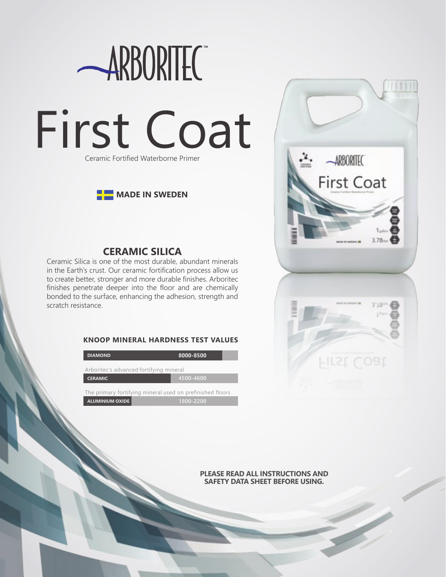



# **CERAMIC SILICA**

Ceramic Silica is one of the most durable, abundant minerals in the Earth's crust. Our ceramic fortification process allow us to create better, stronger and more durable finishes. Arboritec finishes penetrate deeper into the floor and are chemically bonded to the surface, enhancing the adhesion, strength and scratch resistance.

### **KNOOP MINERAL HARDNESS TEST VALUES**

| <b>DIAMOND</b>                                            | 8000-8500 |
|-----------------------------------------------------------|-----------|
| Arboritec's advanced fortifying mineral                   |           |
| <b>CERAMIC</b>                                            | 4500-4600 |
| The primary fortifying mineral used on prefinished floors |           |
| <b>ALUMINIUM OXIDE</b>                                    | 1800-2200 |



**PLEASE READ ALL INSTRUCTIONS AND SAFETY DATA SHEET BEFORE USING.**